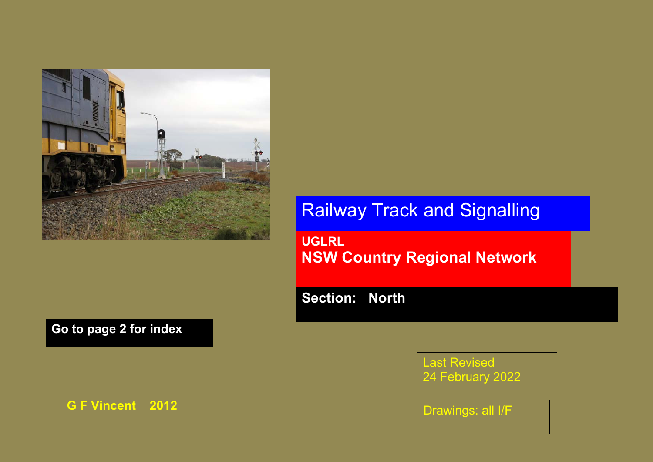

## **Go to page 2 for index**

**G F Vincent 2012** 

## Railway Track and Signalling

**UGLRL NSW Country Regional Network** 

**Section: North** 

Last Revised 24 February 2022

Drawings: all I/F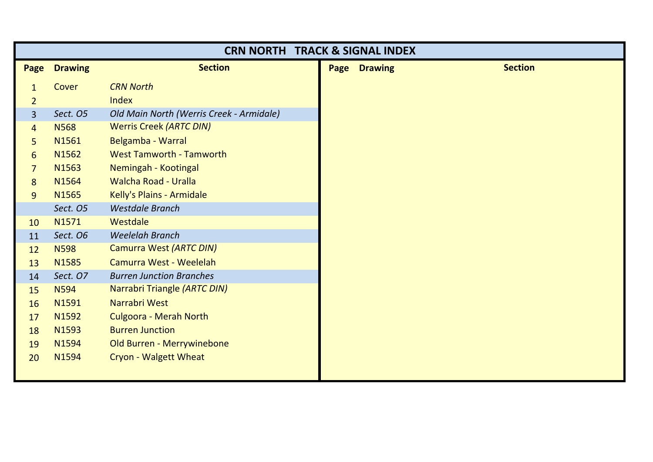| <b>CRN NORTH TRACK &amp; SIGNAL INDEX</b> |                |                                          |  |                     |                |
|-------------------------------------------|----------------|------------------------------------------|--|---------------------|----------------|
| Page                                      | <b>Drawing</b> | <b>Section</b>                           |  | <b>Page Drawing</b> | <b>Section</b> |
| $\mathbf{1}$                              | Cover          | <b>CRN North</b>                         |  |                     |                |
| $\overline{2}$                            |                | Index                                    |  |                     |                |
| 3                                         | Sect. O5       | Old Main North (Werris Creek - Armidale) |  |                     |                |
| $\overline{4}$                            | <b>N568</b>    | <b>Werris Creek (ARTC DIN)</b>           |  |                     |                |
| 5                                         | N1561          | Belgamba - Warral                        |  |                     |                |
| 6                                         | N1562          | <b>West Tamworth - Tamworth</b>          |  |                     |                |
| $\overline{7}$                            | N1563          | Nemingah - Kootingal                     |  |                     |                |
| 8                                         | N1564          | <b>Walcha Road - Uralla</b>              |  |                     |                |
| 9                                         | N1565          | Kelly's Plains - Armidale                |  |                     |                |
|                                           | Sect. O5       | <b>Westdale Branch</b>                   |  |                     |                |
| 10                                        | N1571          | Westdale                                 |  |                     |                |
| 11                                        | Sect. O6       | <b>Weelelah Branch</b>                   |  |                     |                |
| 12                                        | <b>N598</b>    | Camurra West (ARTC DIN)                  |  |                     |                |
| 13                                        | N1585          | Camurra West - Weelelah                  |  |                     |                |
| 14                                        | Sect. O7       | <b>Burren Junction Branches</b>          |  |                     |                |
| 15                                        | <b>N594</b>    | Narrabri Triangle (ARTC DIN)             |  |                     |                |
| 16                                        | N1591          | Narrabri West                            |  |                     |                |
| 17                                        | N1592          | <b>Culgoora - Merah North</b>            |  |                     |                |
| 18                                        | N1593          | <b>Burren Junction</b>                   |  |                     |                |
| 19                                        | N1594          | Old Burren - Merrywinebone               |  |                     |                |
| 20                                        | N1594          | Cryon - Walgett Wheat                    |  |                     |                |
|                                           |                |                                          |  |                     |                |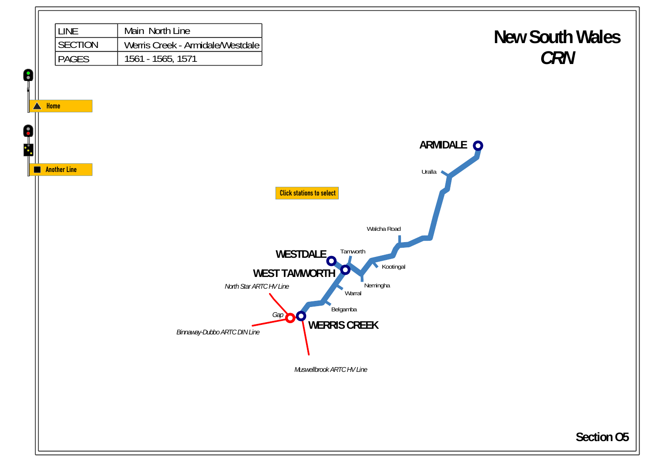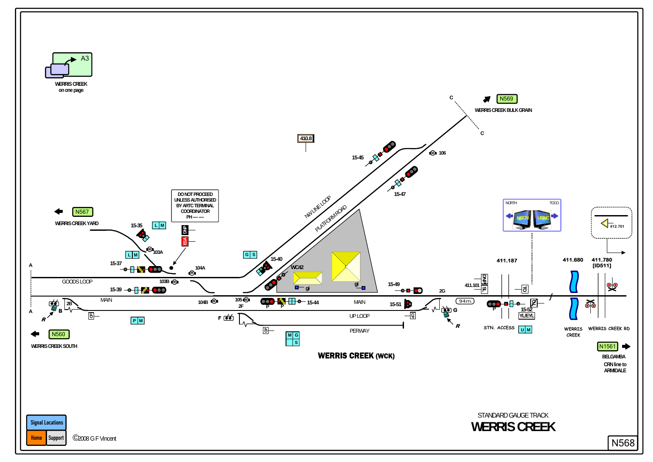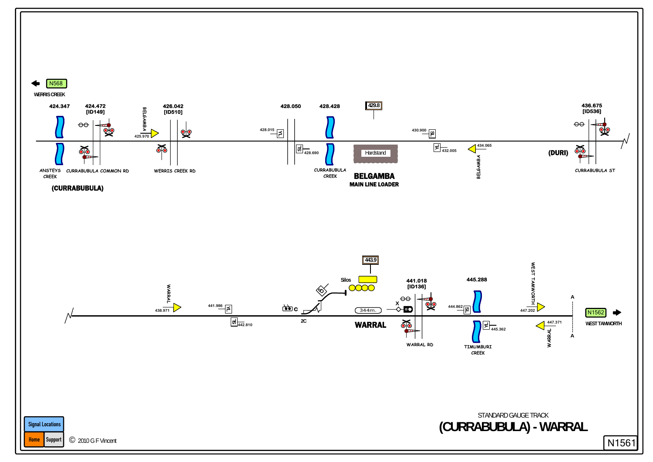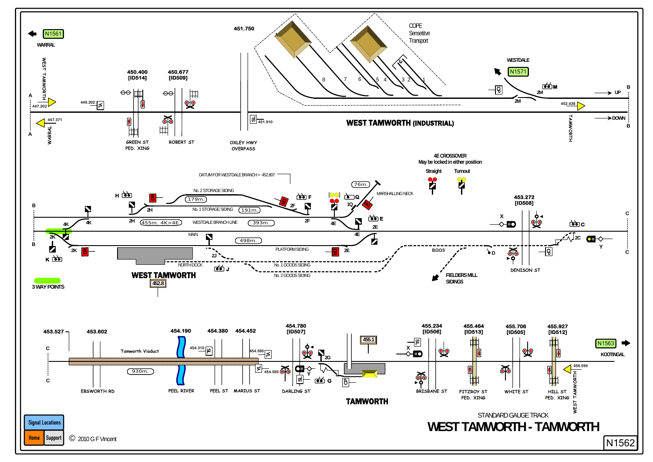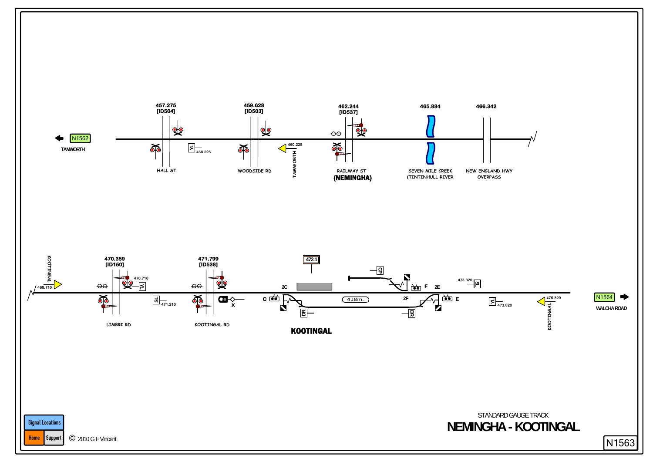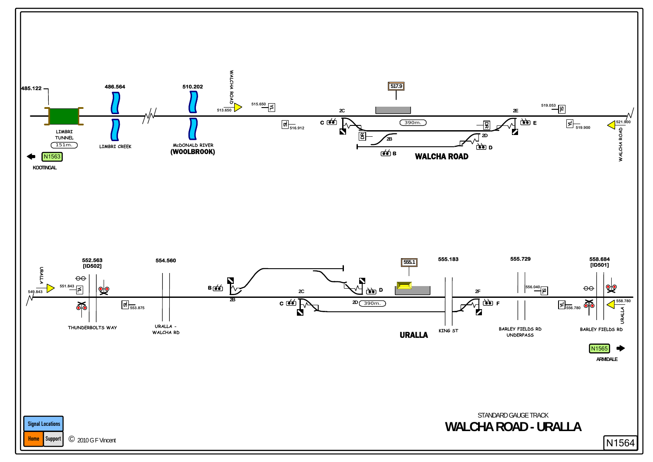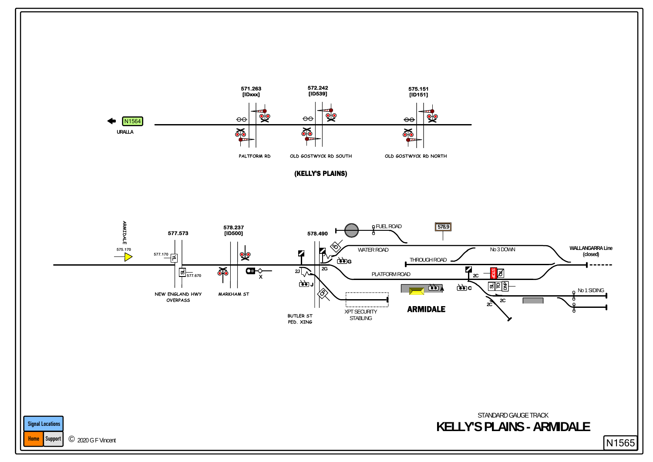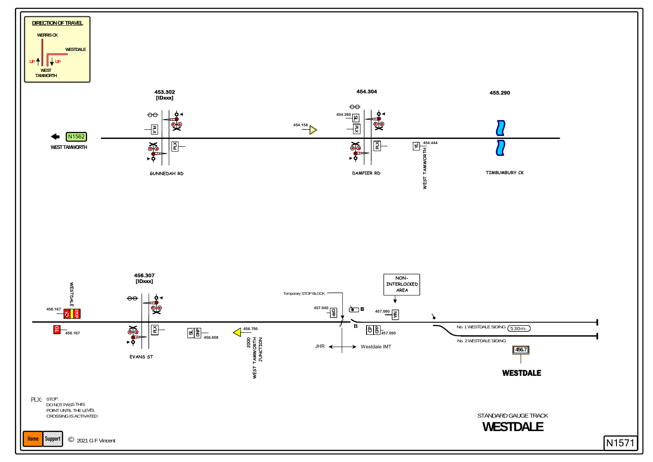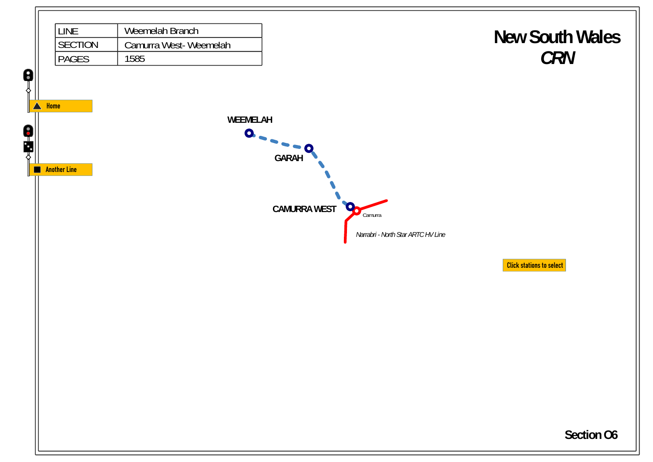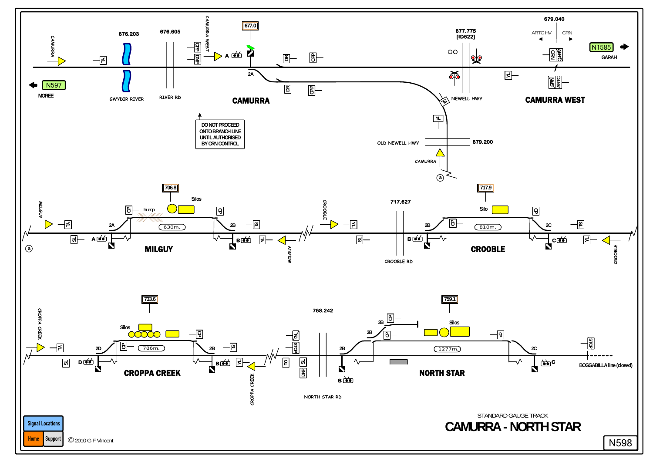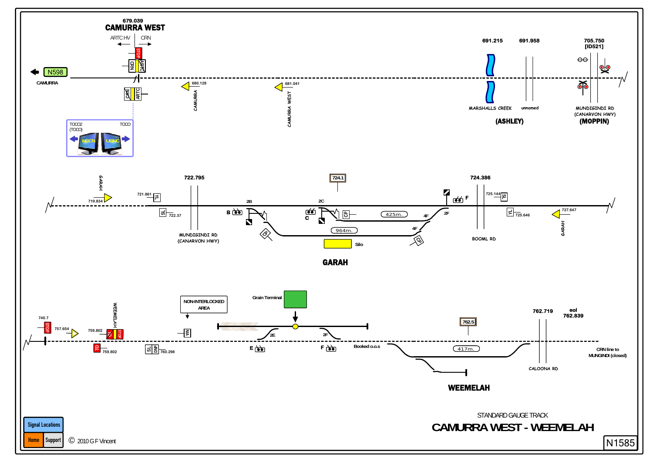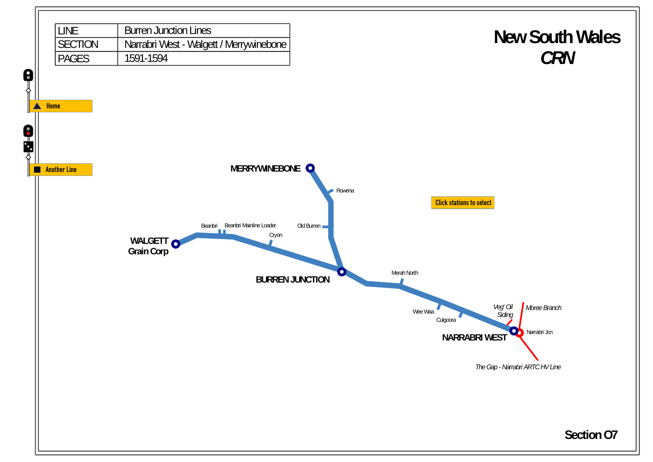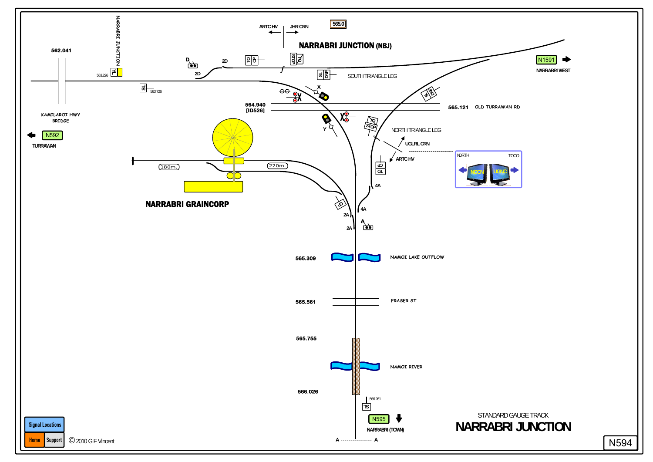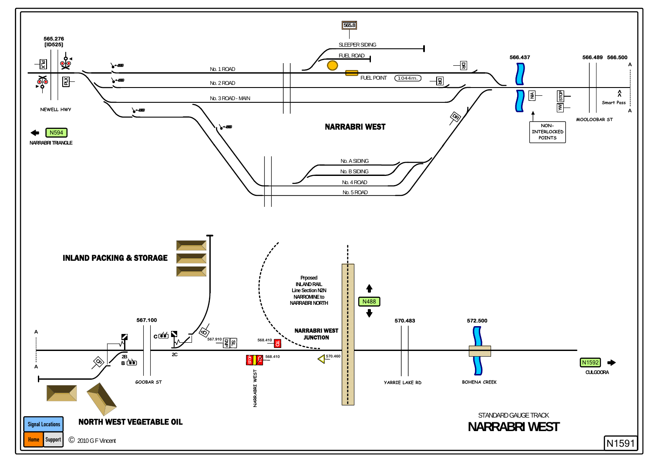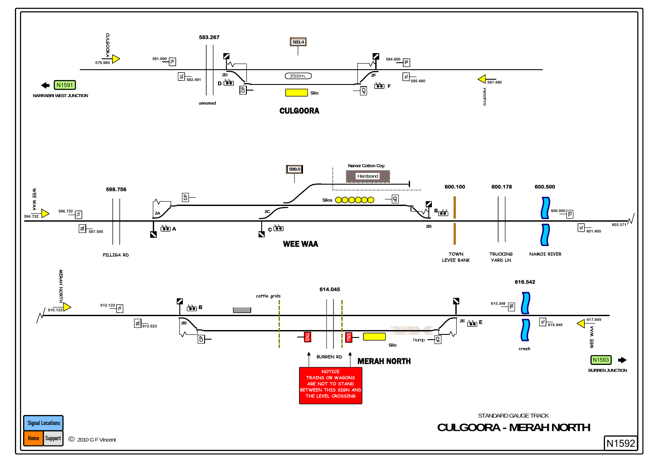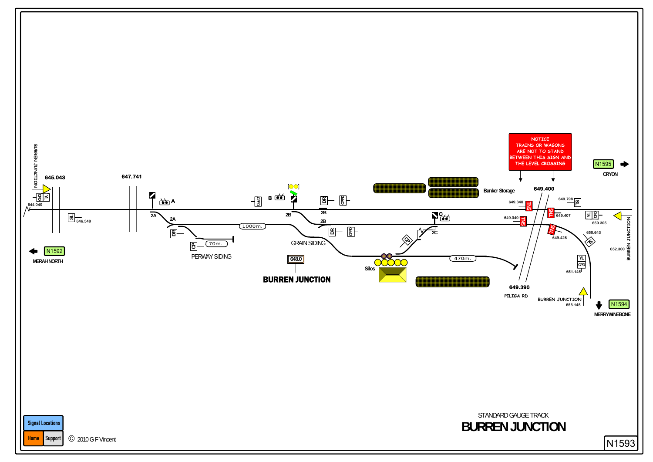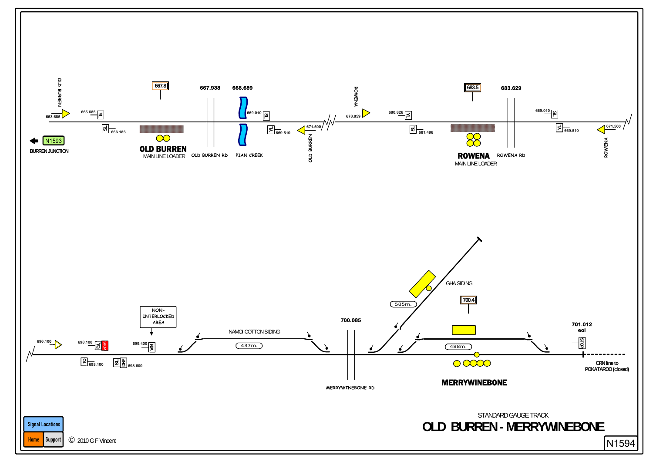